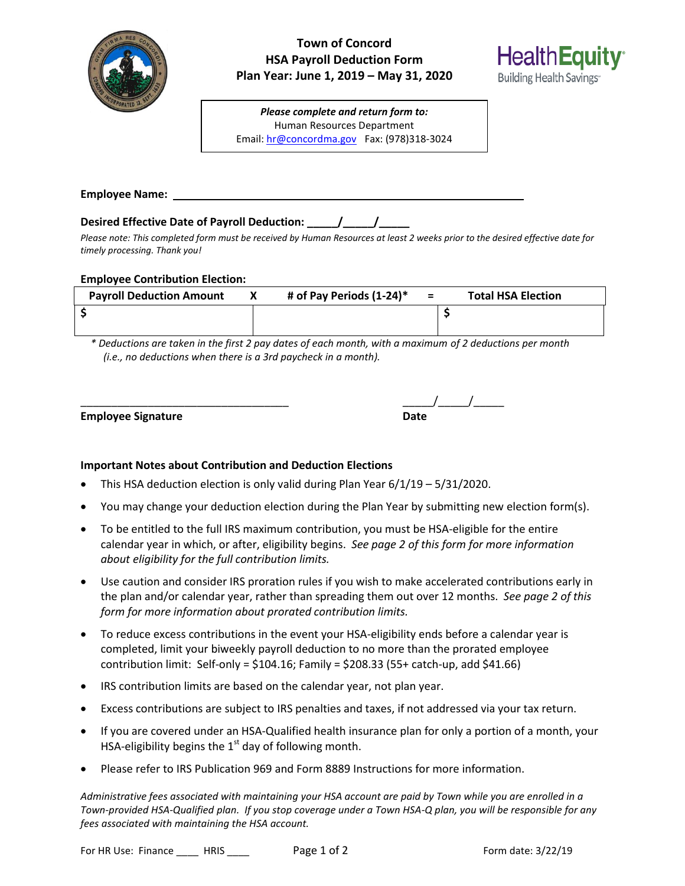

# **Town of Concord HSA Payroll Deduction Form Plan Year: June 1, 2019 – May 31, 2020**



**Employee Name:**

## **Desired Effective Date of Payroll Deduction: \_\_\_\_\_/\_\_\_\_\_/\_\_\_\_\_**

*Please note: This completed form must be received by Human Resources at least 2 weeks prior to the desired effective date for timely processing. Thank you!*

### **Employee Contribution Election:**

| <b>Payroll Deduction Amount</b> | # of Pay Periods $(1-24)^*$ = | <b>Total HSA Election</b> |
|---------------------------------|-------------------------------|---------------------------|
|                                 |                               |                           |

*\* Deductions are taken in the first 2 pay dates of each month, with a maximum of 2 deductions per month (i.e., no deductions when there is a 3rd paycheck in a month).*

**Employee Signature** 

| <b>Employee Signature</b> | <b>Date</b> |
|---------------------------|-------------|

**HealthEquity** 

Building Health Savings<sup>®</sup>

### **Important Notes about Contribution and Deduction Elections**

- This HSA deduction election is only valid during Plan Year 6/1/19 5/31/2020.
- You may change your deduction election during the Plan Year by submitting new election form(s).
- To be entitled to the full IRS maximum contribution, you must be HSA-eligible for the entire calendar year in which, or after, eligibility begins. *See page 2 of this form for more information about eligibility for the full contribution limits.*
- Use caution and consider IRS proration rules if you wish to make accelerated contributions early in the plan and/or calendar year, rather than spreading them out over 12 months. *See page 2 of this form for more information about prorated contribution limits.*
- To reduce excess contributions in the event your HSA-eligibility ends before a calendar year is completed, limit your biweekly payroll deduction to no more than the prorated employee contribution limit: Self-only = \$104.16; Family = \$208.33 (55+ catch-up, add \$41.66)
- IRS contribution limits are based on the calendar year, not plan year.
- Excess contributions are subject to IRS penalties and taxes, if not addressed via your tax return.
- If you are covered under an HSA-Qualified health insurance plan for only a portion of a month, your HSA-eligibility begins the  $1<sup>st</sup>$  day of following month.
- Please refer to IRS Publication 969 and Form 8889 Instructions for more information.

*Administrative fees associated with maintaining your HSA account are paid by Town while you are enrolled in a Town-provided HSA-Qualified plan. If you stop coverage under a Town HSA-Q plan, you will be responsible for any fees associated with maintaining the HSA account.*